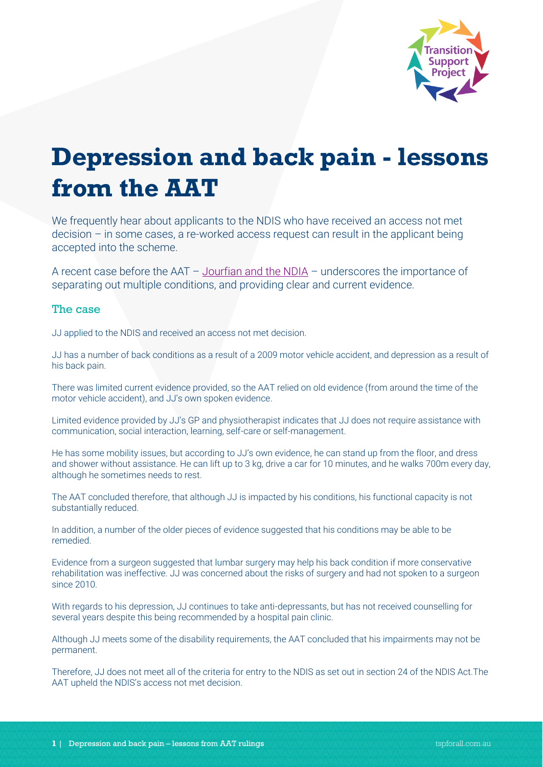

## **Depression and back pain - lessons from the AAT**

We frequently hear about applicants to the NDIS who have received an access not met decision – in some cases, a re-worked access request can result in the applicant being accepted into the scheme.

A recent case before the AAT – [Jourfian and the NDIA](http://www.austlii.edu.au/cgi-bin/viewdoc/au/cases/cth/AATA/2020/1883.html?context=1;query=1883;mask_path=au/cases/cth/AATA) – underscores the importance of separating out multiple conditions, and providing clear and current evidence.

## The case

JJ applied to the NDIS and received an access not met decision.

JJ has a number of back conditions as a result of a 2009 motor vehicle accident, and depression as a result of his back pain.

There was limited current evidence provided, so the AAT relied on old evidence (from around the time of the motor vehicle accident), and JJ's own spoken evidence.

Limited evidence provided by JJ's GP and physiotherapist indicates that JJ does not require assistance with communication, social interaction, learning, self-care or self-management.

He has some mobility issues, but according to JJ's own evidence, he can stand up from the floor, and dress and shower without assistance. He can lift up to 3 kg, drive a car for 10 minutes, and he walks 700m every day, although he sometimes needs to rest.

The AAT concluded therefore, that although JJ is impacted by his conditions, his functional capacity is not substantially reduced.

In addition, a number of the older pieces of evidence suggested that his conditions may be able to be remedied.

Evidence from a surgeon suggested that lumbar surgery may help his back condition if more conservative rehabilitation was ineffective. JJ was concerned about the risks of surgery and had not spoken to a surgeon since 2010.

With regards to his depression, JJ continues to take anti-depressants, but has not received counselling for several years despite this being recommended by a hospital pain clinic.

Although JJ meets some of the disability requirements, the AAT concluded that his impairments may not be permanent.

Therefore, JJ does not meet all of the criteria for entry to the NDIS as set out in section 24 of the NDIS Act.The AAT upheld the NDIS's access not met decision.